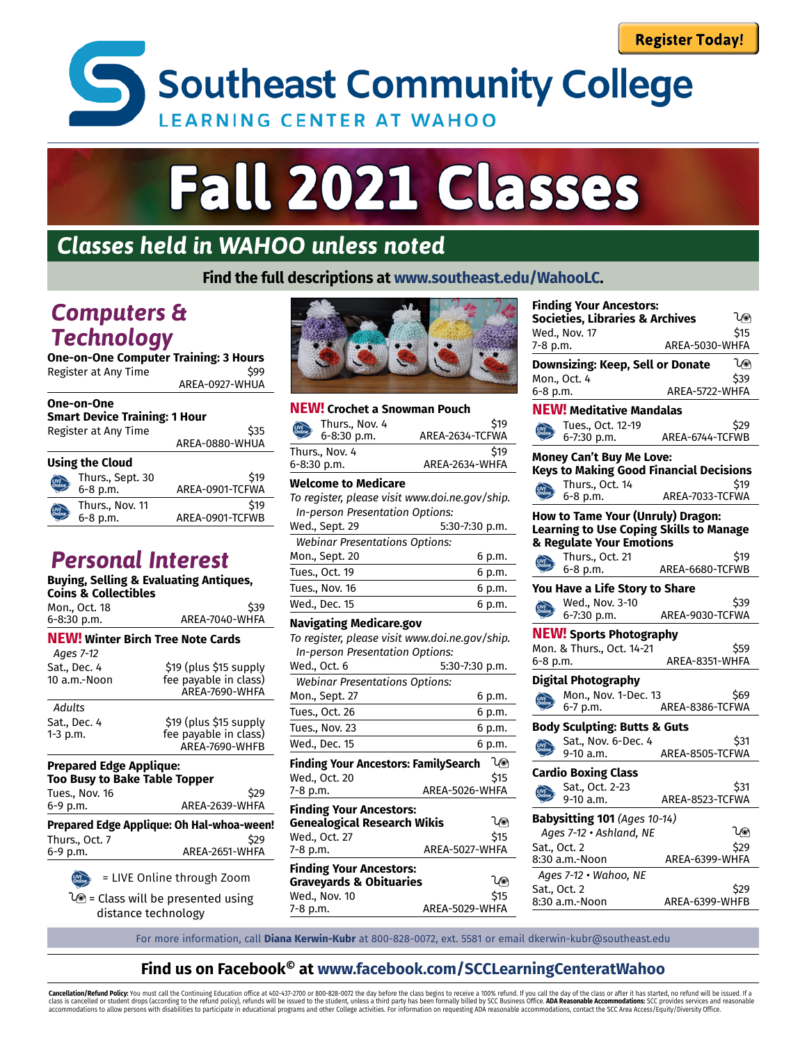**Southeast Community College LEARNING CENTER AT WAHOO** 

# **Fall 2021 Classes**

## *Classes held in WAHOO unless noted*

**Find the full descriptions at www.southeast.edu/WahooLC.**

### *Computers & Technology*

**One-on-One Computer Training: 3 Hours** Register at Any Time **\$99** AREA-0927-WHUA

#### **One-on-One Smart Device Training: 1 Hour**

| Register at Any Time |                              | \$35<br>AREA-0880-WHUA  |  |  |
|----------------------|------------------------------|-------------------------|--|--|
|                      | <b>Using the Cloud</b>       |                         |  |  |
|                      | Thurs., Sept. 30<br>6-8 p.m. | \$19<br>AREA-0901-TCFWA |  |  |
|                      | Thurs., Nov. 11<br>6-8 p.m.  | \$19<br>AREA-0901-TCFWB |  |  |

## *Personal Interest*

#### **Buying, Selling & Evaluating Antiques,**

| Coins & Collectibles                                            | Duying, Setting & Evaluating Antiques,    |
|-----------------------------------------------------------------|-------------------------------------------|
| Mon., Oct. 18                                                   | \$39                                      |
| 6-8:30 p.m.                                                     | AREA-7040-WHFA                            |
| <b>NEW!</b> Winter Birch Tree Note Cards                        |                                           |
| Ages 7-12                                                       |                                           |
| Sat., Dec. 4                                                    | \$19 (plus \$15 supply                    |
| 10 a.m.-Noon                                                    | fee payable in class)<br>AREA-7690-WHFA   |
| Adults                                                          |                                           |
| Sat., Dec. 4                                                    | \$19 (plus \$15 supply                    |
| 1-3 p.m.                                                        | fee payable in class)                     |
|                                                                 | AREA-7690-WHFB                            |
| <b>Prepared Edge Applique:</b><br>Too Busy to Bake Table Topper |                                           |
| Tues., Nov. 16                                                  | \$29                                      |
| 6-9 p.m.                                                        | AREA-2639-WHFA                            |
|                                                                 | Prepared Edge Applique: Oh Hal-whoa-ween! |

| Prepared Edge Applique: Oh Hal-whoa-ween!<br>\$29<br>Thurs Oct. 7<br>AREA-2651-WHFA<br>6-9 p.m. |  |
|-------------------------------------------------------------------------------------------------|--|
|                                                                                                 |  |
|                                                                                                 |  |

ELIVE Online through Zoom

 $\sqrt{ }$  = Class will be presented using distance technology



#### **NEW! Crochet a Snowman Pouch**

|             | <b>Welcome to Medicare</b> |                 |  |  |
|-------------|----------------------------|-----------------|--|--|
| 6-8:30 p.m. |                            | AREA-2634-WHFA  |  |  |
|             | Thurs., Nov. 4             | \$19            |  |  |
|             | 6-8:30 p.m.                | AREA-2634-TCFWA |  |  |
|             | Thurs., Nov. 4             | \$19            |  |  |

| To register, please visit www.doi.ne.gov/ship. |        |  |  |
|------------------------------------------------|--------|--|--|
| In-person Presentation Options:                |        |  |  |
| Wed., Sept. 29<br>5:30-7:30 p.m.               |        |  |  |
| <b>Webinar Presentations Options:</b>          |        |  |  |
| Mon., Sept. 20                                 | 6 p.m. |  |  |
| Tues., Oct. 19                                 | 6 p.m. |  |  |
| Tues., Nov. 16                                 | 6 p.m. |  |  |
| Wed., Dec. 15                                  | 6 p.m. |  |  |
|                                                |        |  |  |

#### **Navigating Medicare.gov**

| To register, please visit www.doi.ne.gov/ship. |                |        |
|------------------------------------------------|----------------|--------|
| In-person Presentation Options:                |                |        |
| Wed., Oct. 6                                   | 5:30-7:30 p.m. |        |
| <b>Webinar Presentations Options:</b>          |                |        |
| Mon., Sept. 27                                 |                | 6 p.m. |
| Tues., Oct. 26                                 |                | 6 p.m. |
| Tues., Nov. 23                                 |                | 6 p.m. |
| Wed., Dec. 15                                  |                | 6 p.m. |
| <b>Finding Your Ancestors: FamilySearch</b>    |                | ਪ⊚     |
| Wed., Oct. 20                                  |                | \$15   |
| 7-8 p.m.                                       | AREA-5026-WHFA |        |
| <b>Finding Your Ancestors:</b>                 |                |        |
| <b>Genealogical Research Wikis</b>             |                | ∕⊚     |
| Wed., Oct. 27                                  |                | \$15   |
| 7-8 p.m.                                       | AREA-5027-WHFA |        |
| <b>Finding Your Ancestors:</b>                 |                |        |
| <b>Graveyards &amp; Obituaries</b>             |                | ∕⊚     |
| Wed., Nov. 10                                  |                | \$15   |
| 7-8 p.m.                                       | AREA-5029-WHFA |        |

| <b>Finding Your Ancestors:</b> |                                                |                 |      |  |
|--------------------------------|------------------------------------------------|-----------------|------|--|
|                                | <b>Societies, Libraries &amp; Archives</b>     |                 | ≀⊚   |  |
|                                | Wed., Nov. 17                                  |                 | \$15 |  |
| 7-8 p.m.                       |                                                | AREA-5030-WHFA  |      |  |
|                                | Downsizing: Keep, Sell or Donate               |                 | ୀ⊚   |  |
|                                | Mon., Oct. 4                                   |                 | \$39 |  |
| 6-8 p.m.                       |                                                | AREA-5722-WHFA  |      |  |
|                                | <b>NEW! Meditative Mandalas</b>                |                 |      |  |
|                                | Tues., Oct. 12-19                              |                 | \$29 |  |
|                                | 6-7:30 p.m.                                    | AREA-6744-TCFWB |      |  |
|                                | <b>Money Can't Buy Me Love:</b>                |                 |      |  |
|                                | <b>Keys to Making Good Financial Decisions</b> |                 |      |  |
|                                | Thurs., Oct. 14                                |                 | \$19 |  |
|                                | 6-8 p.m.                                       | AREA-7033-TCFWA |      |  |
|                                | How to Tame Your (Unruly) Dragon:              |                 |      |  |
|                                | <b>Learning to Use Coping Skills to Manage</b> |                 |      |  |
|                                | & Regulate Your Emotions                       |                 |      |  |
|                                | Thurs., Oct. 21                                |                 | \$19 |  |
|                                | 6-8 p.m.                                       | AREA-6680-TCFWB |      |  |
|                                | You Have a Life Story to Share                 |                 |      |  |
|                                | Wed., Nov. 3-10                                |                 | \$39 |  |
|                                | 6-7:30 p.m.                                    | AREA-9030-TCFWA |      |  |
|                                | <b>NEW!</b> Sports Photography                 |                 |      |  |
|                                | Mon. & Thurs., Oct. 14-21                      |                 | \$59 |  |
| 6-8 p.m.                       |                                                | AREA-8351-WHFA  |      |  |
|                                | Digital Photography                            |                 |      |  |
|                                | Mon., Nov. 1-Dec. 13                           |                 | \$69 |  |
|                                | 6-7 p.m.                                       | AREA-8386-TCFWA |      |  |
|                                | <b>Body Sculpting: Butts &amp; Guts</b>        |                 |      |  |
|                                | Sat., Nov. 6-Dec. 4                            |                 | \$31 |  |
|                                | 9-10 a.m.                                      | AREA-8505-TCFWA |      |  |
|                                | <b>Cardio Boxing Class</b>                     |                 |      |  |
|                                | Sat., Oct. 2-23                                |                 | \$31 |  |
|                                | $9-10$ a.m.                                    | AREA-8523-TCFWA |      |  |
| Babysitting 101 (Ages 10-14)   |                                                |                 |      |  |
|                                | Ages 7-12 · Ashland, NE                        |                 | प⊚   |  |
| Sat., Oct. 2                   |                                                |                 | \$29 |  |
|                                | 8:30 a.m.-Noon                                 | AREA-6399-WHFA  |      |  |
|                                | Ages 7-12 · Wahoo, NE                          |                 |      |  |
| Sat., Oct. 2                   |                                                |                 | \$29 |  |
|                                | 8:30 a.m.-Noon                                 | AREA-6399-WHFB  |      |  |

For more information, call **Diana Kerwin-Kubr** at 800-828-0072, ext. 5581 or email dkerwin-kubr@southeast.edu

#### **Find us on Facebook© at www.facebook.com/SCCLearningCenteratWahoo**

**Cancellation/Refund Policy:** You must call the Continuing Education office at 402-437-2700 or 800-828-0072 the day before the class begins to receive a 100% refund. If you call the day of the class or after it has started